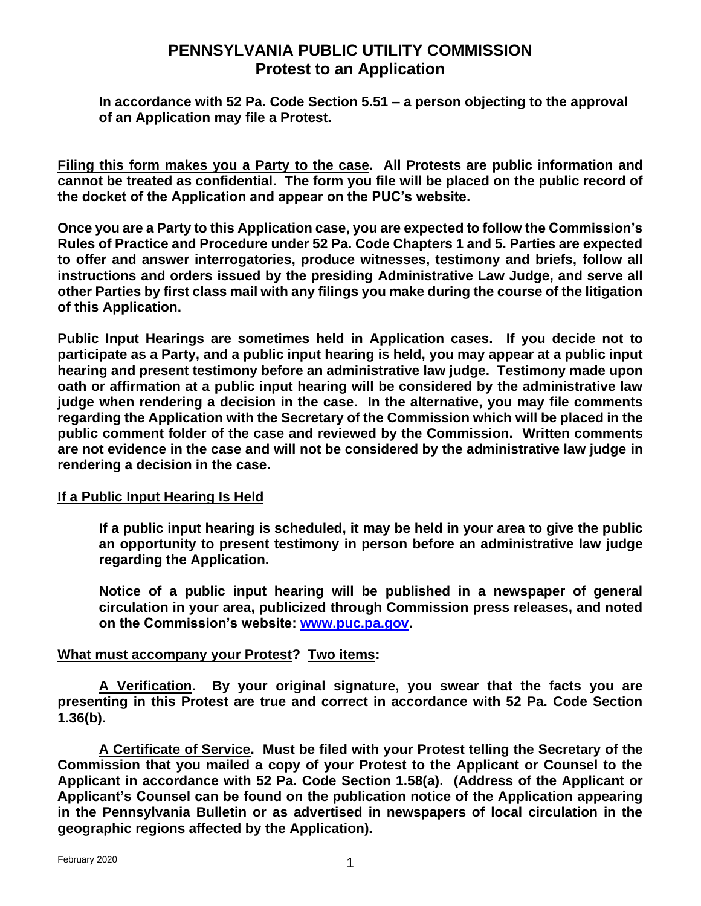## **PENNSYLVANIA PUBLIC UTILITY COMMISSION Protest to an Application**

**In accordance with 52 Pa. Code Section 5.51 – a person objecting to the approval of an Application may file a Protest.**

**Filing this form makes you a Party to the case. All Protests are public information and cannot be treated as confidential. The form you file will be placed on the public record of the docket of the Application and appear on the PUC's website.** 

**Once you are a Party to this Application case, you are expected to follow the Commission's Rules of Practice and Procedure under 52 Pa. Code Chapters 1 and 5. Parties are expected to offer and answer interrogatories, produce witnesses, testimony and briefs, follow all instructions and orders issued by the presiding Administrative Law Judge, and serve all other Parties by first class mail with any filings you make during the course of the litigation of this Application.**

**Public Input Hearings are sometimes held in Application cases. If you decide not to participate as a Party, and a public input hearing is held, you may appear at a public input hearing and present testimony before an administrative law judge. Testimony made upon oath or affirmation at a public input hearing will be considered by the administrative law judge when rendering a decision in the case. In the alternative, you may file comments regarding the Application with the Secretary of the Commission which will be placed in the public comment folder of the case and reviewed by the Commission. Written comments are not evidence in the case and will not be considered by the administrative law judge in rendering a decision in the case.**

## **If a Public Input Hearing Is Held**

**If a public input hearing is scheduled, it may be held in your area to give the public an opportunity to present testimony in person before an administrative law judge regarding the Application.**

**Notice of a public input hearing will be published in a newspaper of general circulation in your area, publicized through Commission press releases, and noted on the Commission's website: [www.puc.pa.gov.](http://www.puc.pa.gov/)** 

## **What must accompany your Protest? Two items:**

**A Verification. By your original signature, you swear that the facts you are presenting in this Protest are true and correct in accordance with 52 Pa. Code Section 1.36(b).**

**A Certificate of Service. Must be filed with your Protest telling the Secretary of the Commission that you mailed a copy of your Protest to the Applicant or Counsel to the Applicant in accordance with 52 Pa. Code Section 1.58(a). (Address of the Applicant or Applicant's Counsel can be found on the publication notice of the Application appearing in the Pennsylvania Bulletin or as advertised in newspapers of local circulation in the geographic regions affected by the Application).**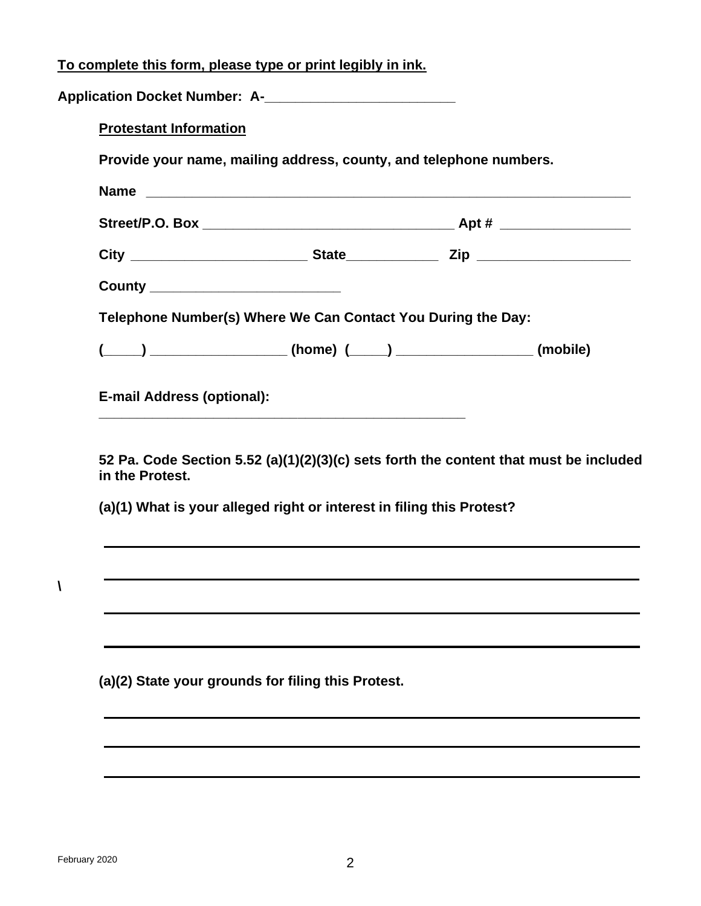|  | To complete this form, please type or print legibly in ink. |  |  |
|--|-------------------------------------------------------------|--|--|
|--|-------------------------------------------------------------|--|--|

| <b>Protestant Information</b>     |                                                                    |  |
|-----------------------------------|--------------------------------------------------------------------|--|
|                                   | Provide your name, mailing address, county, and telephone numbers. |  |
|                                   | Name                                                               |  |
|                                   |                                                                    |  |
|                                   |                                                                    |  |
| County __________________________ |                                                                    |  |
|                                   | Telephone Number(s) Where We Can Contact You During the Day:       |  |
|                                   | $(\_\_\_\_\_$ (mobile)                                             |  |

**52 Pa. Code Section 5.52 (a)(1)(2)(3)(c) sets forth the content that must be included in the Protest.**

**(a)(1) What is your alleged right or interest in filing this Protest?**

**(a)(2) State your grounds for filing this Protest.**

**\**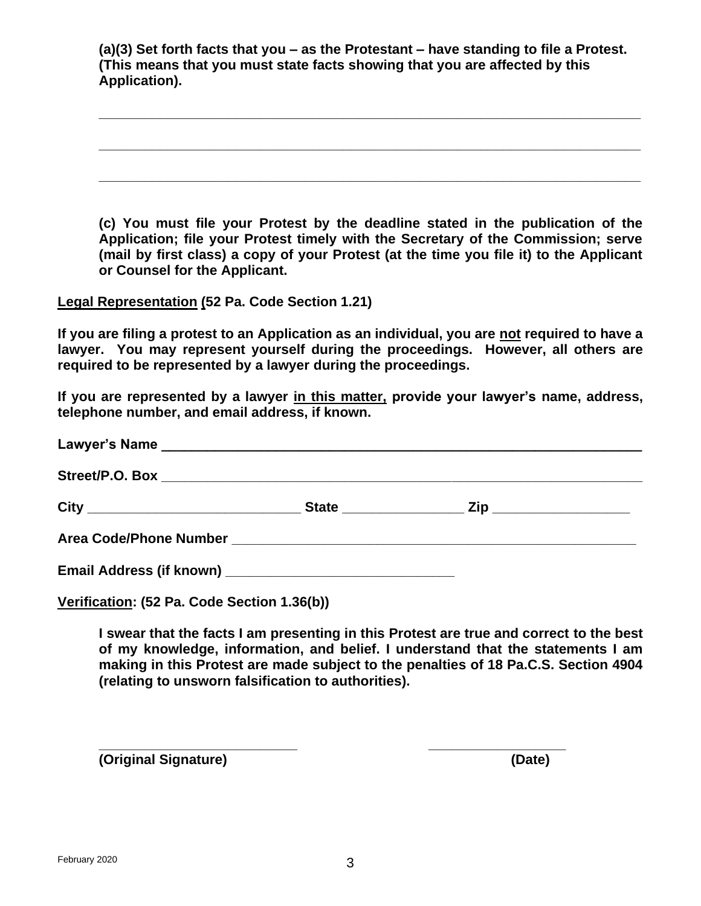**(a)(3) Set forth facts that you – as the Protestant – have standing to file a Protest. (This means that you must state facts showing that you are affected by this Application).**

**\_\_\_\_\_\_\_\_\_\_\_\_\_\_\_\_\_\_\_\_\_\_\_\_\_\_\_\_\_\_\_\_\_\_\_\_\_\_\_\_\_\_\_\_\_\_\_\_\_\_\_\_\_\_\_\_\_\_\_\_\_\_\_\_\_\_\_\_\_\_\_**

**\_\_\_\_\_\_\_\_\_\_\_\_\_\_\_\_\_\_\_\_\_\_\_\_\_\_\_\_\_\_\_\_\_\_\_\_\_\_\_\_\_\_\_\_\_\_\_\_\_\_\_\_\_\_\_\_\_\_\_\_\_\_\_\_\_\_\_\_\_\_\_**

**\_\_\_\_\_\_\_\_\_\_\_\_\_\_\_\_\_\_\_\_\_\_\_\_\_\_\_\_\_\_\_\_\_\_\_\_\_\_\_\_\_\_\_\_\_\_\_\_\_\_\_\_\_\_\_\_\_\_\_\_\_\_\_\_\_\_\_\_\_\_\_**

**(c) You must file your Protest by the deadline stated in the publication of the Application; file your Protest timely with the Secretary of the Commission; serve (mail by first class) a copy of your Protest (at the time you file it) to the Applicant or Counsel for the Applicant.**

**Legal Representation (52 Pa. Code Section 1.21)**

**If you are filing a protest to an Application as an individual, you are not required to have a lawyer. You may represent yourself during the proceedings. However, all others are required to be represented by a lawyer during the proceedings.**

**If you are represented by a lawyer in this matter, provide your lawyer's name, address, telephone number, and email address, if known.** 

**Verification: (52 Pa. Code Section 1.36(b))**

**I swear that the facts I am presenting in this Protest are true and correct to the best of my knowledge, information, and belief. I understand that the statements I am making in this Protest are made subject to the penalties of 18 Pa.C.S. Section 4904 (relating to unsworn falsification to authorities).**

**(Original Signature) (Date)**

**\_\_\_\_\_\_\_\_\_\_\_\_\_\_\_\_\_\_\_\_\_\_\_\_\_\_ \_\_\_\_\_\_\_\_\_\_\_\_\_\_\_\_\_\_**